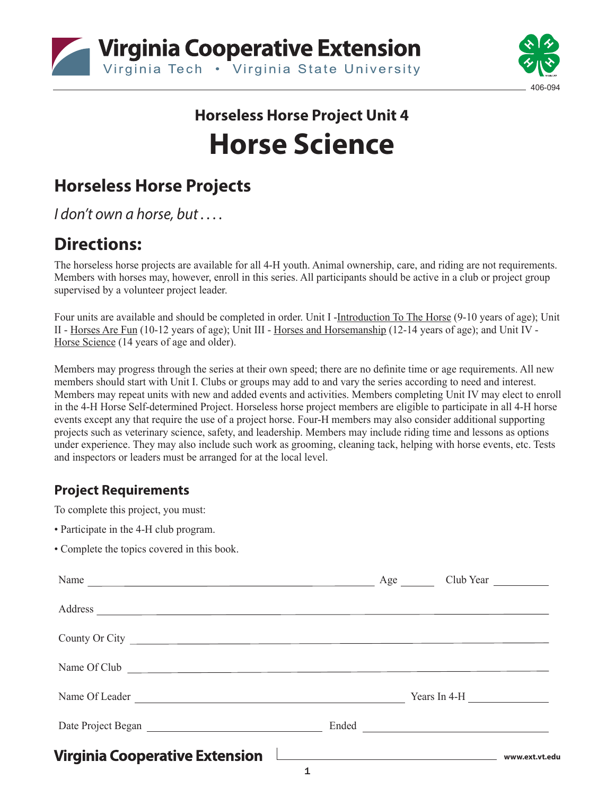



# **Horseless Horse Project Unit 4 Horse Science**

# **Horseless Horse Projects**

*I don't own a horse, but . . . .*

### **Directions:**

The horseless horse projects are available for all 4-H youth. Animal ownership, care, and riding are not requirements. Members with horses may, however, enroll in this series. All participants should be active in a club or project group supervised by a volunteer project leader.

Four units are available and should be completed in order. Unit I -Introduction To The Horse (9-10 years of age); Unit II - Horses Are Fun (10-12 years of age); Unit III - Horses and Horsemanship (12-14 years of age); and Unit IV - Horse Science (14 years of age and older).

Members may progress through the series at their own speed; there are no definite time or age requirements. All new members should start with Unit I. Clubs or groups may add to and vary the series according to need and interest. Members may repeat units with new and added events and activities. Members completing Unit IV may elect to enroll in the 4-H Horse Self-determined Project. Horseless horse project members are eligible to participate in all 4-H horse events except any that require the use of a project horse. Four-H members may also consider additional supporting projects such as veterinary science, safety, and leadership. Members may include riding time and lessons as options under experience. They may also include such work as grooming, cleaning tack, helping with horse events, etc. Tests and inspectors or leaders must be arranged for at the local level.

#### **Project Requirements**

To complete this project, you must:

- Participate in the 4-H club program.
- Complete the topics covered in this book.

| Name                           | Age Club Year |                                               |  |
|--------------------------------|---------------|-----------------------------------------------|--|
| Address                        |               |                                               |  |
| County Or City                 |               |                                               |  |
| Name Of Club                   |               |                                               |  |
| Name Of Leader                 |               | Years In 4-H $\_\_\_\_\_\_\_\_\_\_\_\_\_\_\_$ |  |
|                                |               |                                               |  |
| Virginia Cooperative Extension |               |                                               |  |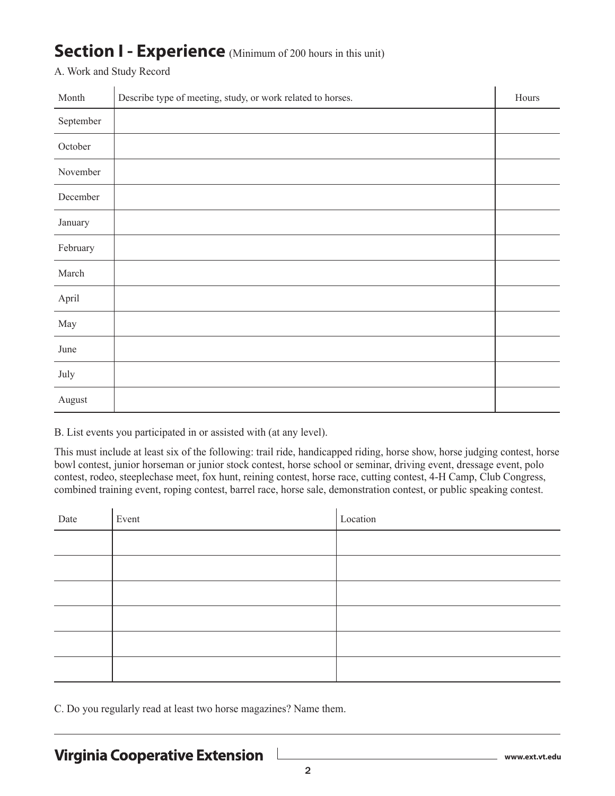### **Section I - Experience** (Minimum of 200 hours in this unit)

A. Work and Study Record

| Month     | Describe type of meeting, study, or work related to horses. | Hours |
|-----------|-------------------------------------------------------------|-------|
| September |                                                             |       |
| October   |                                                             |       |
| November  |                                                             |       |
| December  |                                                             |       |
| January   |                                                             |       |
| February  |                                                             |       |
| March     |                                                             |       |
| April     |                                                             |       |
| May       |                                                             |       |
| June      |                                                             |       |
| July      |                                                             |       |
| August    |                                                             |       |

B. List events you participated in or assisted with (at any level).

This must include at least six of the following: trail ride, handicapped riding, horse show, horse judging contest, horse bowl contest, junior horseman or junior stock contest, horse school or seminar, driving event, dressage event, polo contest, rodeo, steeplechase meet, fox hunt, reining contest, horse race, cutting contest, 4-H Camp, Club Congress, combined training event, roping contest, barrel race, horse sale, demonstration contest, or public speaking contest.

| Date | Event | Location |
|------|-------|----------|
|      |       |          |
|      |       |          |
|      |       |          |
|      |       |          |
|      |       |          |
|      |       |          |

C. Do you regularly read at least two horse magazines? Name them.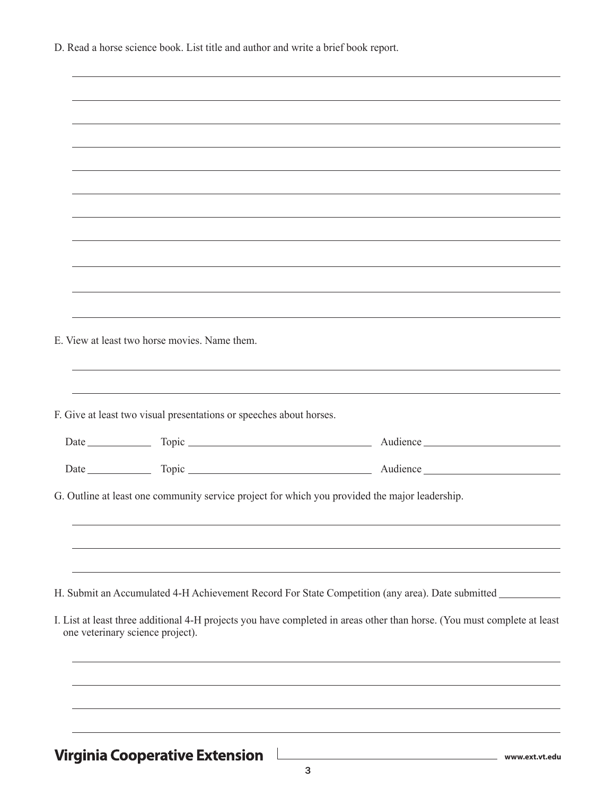D. Read a horse science book. List title and author and write a brief book report.

 $\overline{a}$ 

| E. View at least two horse movies. Name them.                       |                                                                                                                                          |
|---------------------------------------------------------------------|------------------------------------------------------------------------------------------------------------------------------------------|
| F. Give at least two visual presentations or speeches about horses. |                                                                                                                                          |
|                                                                     |                                                                                                                                          |
|                                                                     |                                                                                                                                          |
|                                                                     | G. Outline at least one community service project for which you provided the major leadership.                                           |
|                                                                     | H. Submit an Accumulated 4-H Achievement Record For State Competition (any area). Date submitted _________                               |
| one veterinary science project).                                    | I. List at least three additional 4-H projects you have completed in areas other than horse. (You must complete at least                 |
|                                                                     |                                                                                                                                          |
|                                                                     |                                                                                                                                          |
| <b>Virginia Cooperative Extension</b>                               | <u> 1980 - Johann Barn, mars eta bainar eta baina eta baina eta baina eta baina eta baina eta baina eta baina e</u><br>__ www.ext.vt.edu |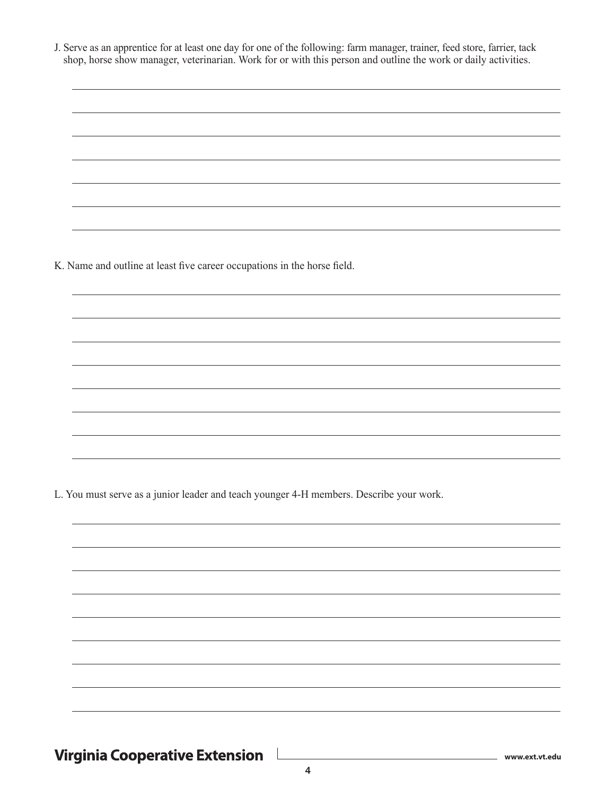J. Serve as an apprentice for at least one day for one of the following: farm manager, trainer, feed store, farrier, tack shop, horse show manager, veterinarian. Work for or with this person and outline the work or daily activities.

K. Name and outline at least five career occupations in the horse field.

L. You must serve as a junior leader and teach younger 4-H members. Describe your work.

Virginia Cooperative Extension L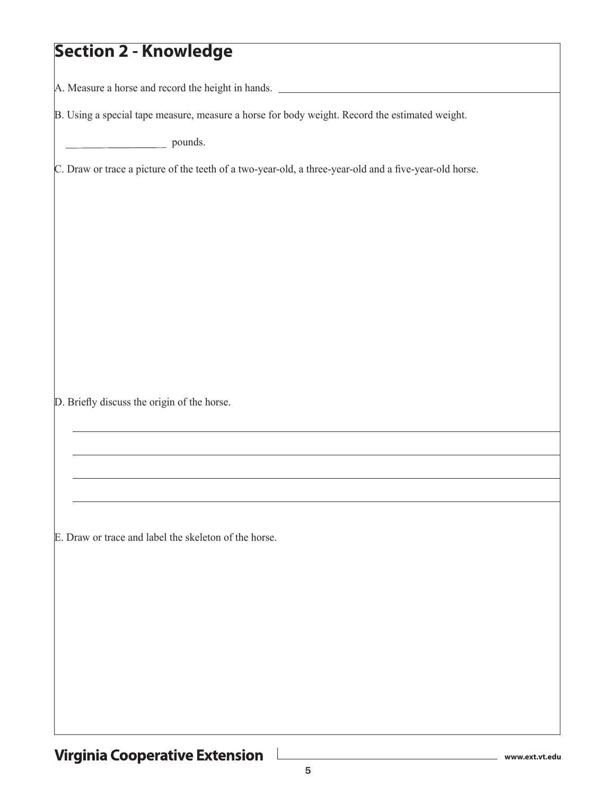### **Section 2 - Knowledge**

A. Measure a horse and record the height in hands.

B. Using a special tape measure, measure a horse for body weight. Record the estimated weight.

pounds.

C. Draw or trace a picture of the teeth of a two-year-old, a three-year-old and a five-year-old horse.

D. Briefly discuss the origin of the horse.

E. Draw or trace and label the skeleton of the horse.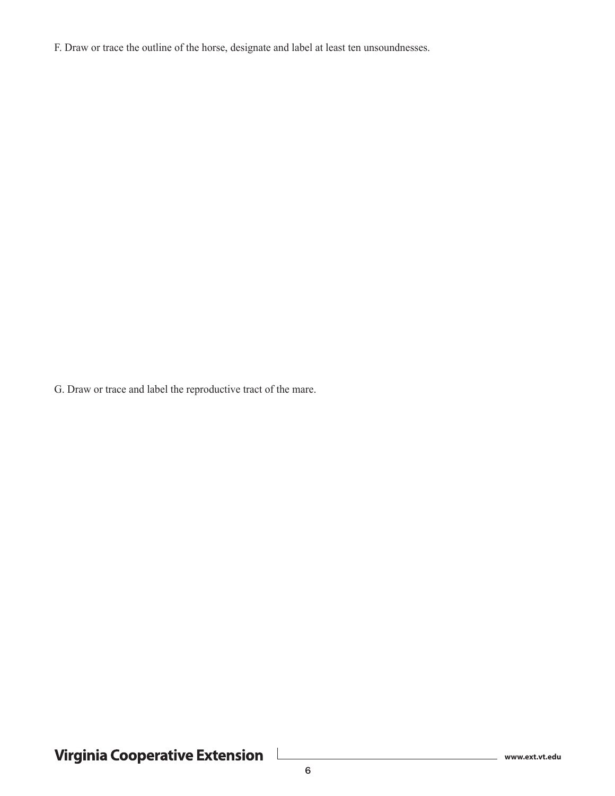F. Draw or trace the outline of the horse, designate and label at least ten unsoundnesses.

G. Draw or trace and label the reproductive tract of the mare.

Virginia Cooperative Extension L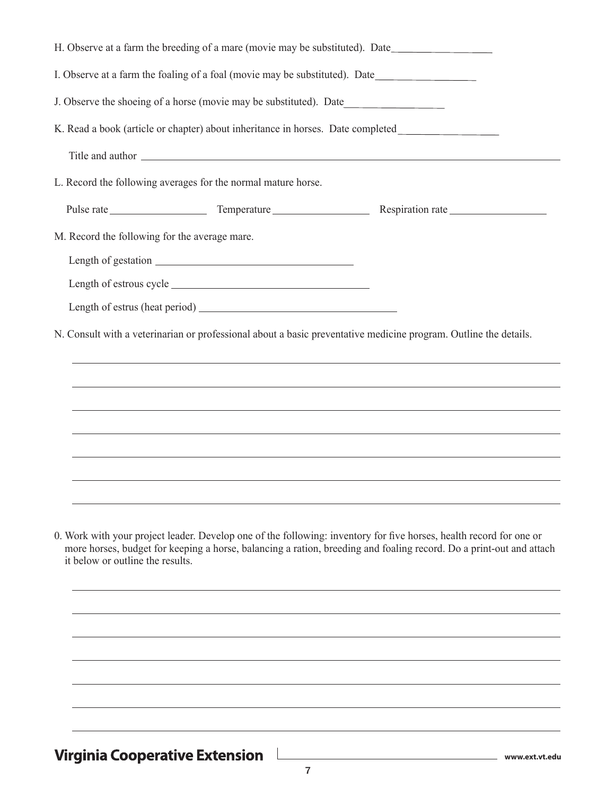| H. Observe at a farm the breeding of a mare (movie may be substituted). Date                                                                                                                                                                                                   |  |
|--------------------------------------------------------------------------------------------------------------------------------------------------------------------------------------------------------------------------------------------------------------------------------|--|
| I. Observe at a farm the foaling of a foal (movie may be substituted). Date_________________________                                                                                                                                                                           |  |
| J. Observe the shoeing of a horse (movie may be substituted). Date                                                                                                                                                                                                             |  |
|                                                                                                                                                                                                                                                                                |  |
| Title and author experience of the state of the state of the state of the state of the state of the state of the state of the state of the state of the state of the state of the state of the state of the state of the state                                                 |  |
| L. Record the following averages for the normal mature horse.                                                                                                                                                                                                                  |  |
|                                                                                                                                                                                                                                                                                |  |
| M. Record the following for the average mare.                                                                                                                                                                                                                                  |  |
|                                                                                                                                                                                                                                                                                |  |
|                                                                                                                                                                                                                                                                                |  |
|                                                                                                                                                                                                                                                                                |  |
| N. Consult with a veterinarian or professional about a basic preventative medicine program. Outline the details.                                                                                                                                                               |  |
|                                                                                                                                                                                                                                                                                |  |
|                                                                                                                                                                                                                                                                                |  |
| ,我们也不会有什么。""我们的人,我们也不会有什么?""我们的人,我们也不会有什么?""我们的人,我们也不会有什么?""我们的人,我们也不会有什么?""我们的人                                                                                                                                                                                               |  |
| ,我们也不会有什么。""我们的人,我们也不会有什么?""我们的人,我们也不会有什么?""我们的人,我们也不会有什么?""我们的人,我们也不会有什么?""我们的人                                                                                                                                                                                               |  |
|                                                                                                                                                                                                                                                                                |  |
|                                                                                                                                                                                                                                                                                |  |
|                                                                                                                                                                                                                                                                                |  |
| 0. Work with your project leader. Develop one of the following: inventory for five horses, health record for one or<br>more horses, budget for keeping a horse, balancing a ration, breeding and foaling record. Do a print-out and attach<br>it below or outline the results. |  |
|                                                                                                                                                                                                                                                                                |  |
|                                                                                                                                                                                                                                                                                |  |
|                                                                                                                                                                                                                                                                                |  |
|                                                                                                                                                                                                                                                                                |  |
|                                                                                                                                                                                                                                                                                |  |
|                                                                                                                                                                                                                                                                                |  |

Virginia Cooperative Extension

**www.ext.vt.edu**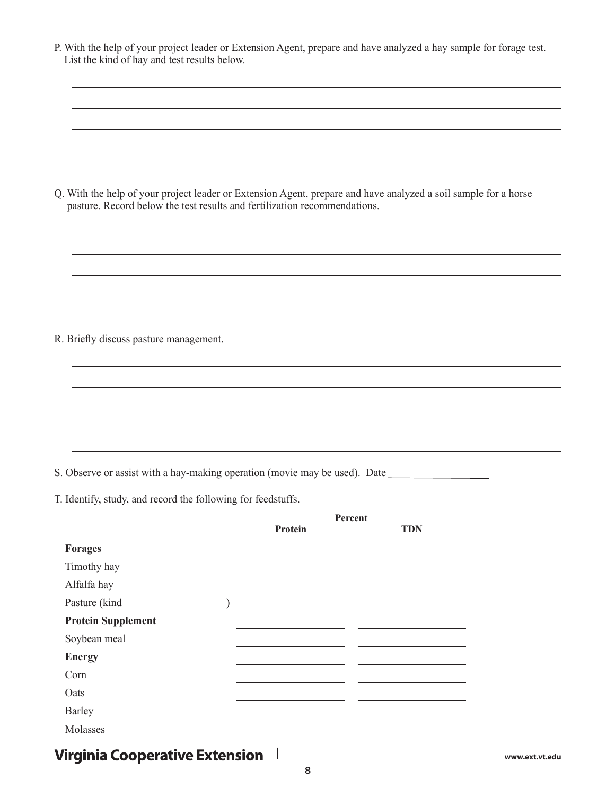| Q. With the help of your project leader or Extension Agent, prepare and have analyzed a soil sample for a horse | pasture. Record below the test results and fertilization recommendations. |
|-----------------------------------------------------------------------------------------------------------------|---------------------------------------------------------------------------|
|                                                                                                                 |                                                                           |
|                                                                                                                 |                                                                           |
|                                                                                                                 |                                                                           |

R. Briefly discuss pasture management.

S. Observe or assist with a hay-making operation (movie may be used). Date

T. Identify, study, and record the following for feedstuffs.

|                                       | Percent |                                                                                                                       |                |
|---------------------------------------|---------|-----------------------------------------------------------------------------------------------------------------------|----------------|
|                                       | Protein | <b>TDN</b>                                                                                                            |                |
| <b>Forages</b>                        |         |                                                                                                                       |                |
| Timothy hay                           |         | <u> 1989 - Andrea Stadt Britain, amerikansk politiker (d. 1989)</u>                                                   |                |
| Alfalfa hay                           |         |                                                                                                                       |                |
|                                       |         |                                                                                                                       |                |
| <b>Protein Supplement</b>             |         |                                                                                                                       |                |
| Soybean meal                          |         | <u> 1989 - Johann Harry Harry Harry Harry Harry Harry Harry Harry Harry Harry Harry Harry Harry Harry Harry Harry</u> |                |
| <b>Energy</b>                         |         |                                                                                                                       |                |
| Corn                                  |         |                                                                                                                       |                |
| Oats                                  |         |                                                                                                                       |                |
| Barley                                |         |                                                                                                                       |                |
| Molasses                              |         |                                                                                                                       |                |
| <b>Virginia Cooperative Extension</b> |         |                                                                                                                       | www.ext.vt.edu |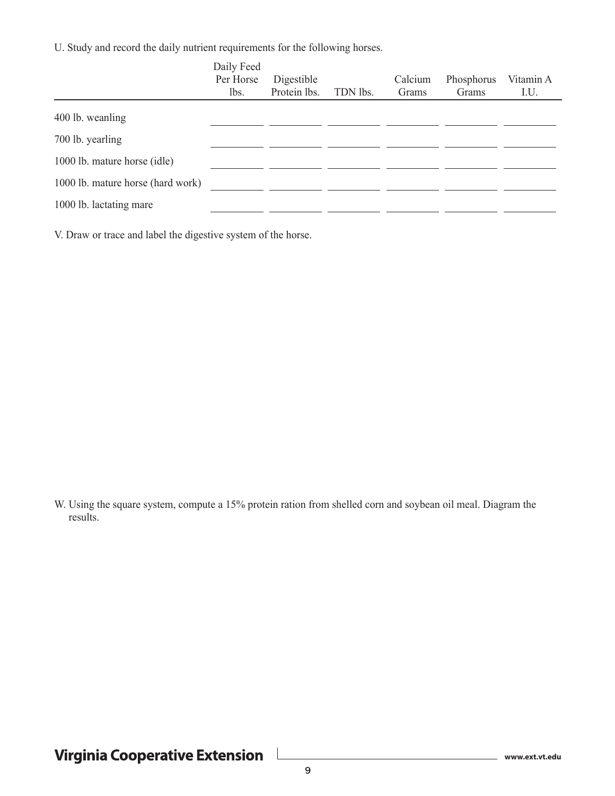U. Study and record the daily nutrient requirements for the following horses.

|                                   | Daily Feed<br>Per Horse<br>lbs. | Digestible<br>Protein lbs. | TDN lbs. | Calcium<br>Grams | Phosphorus<br>Grams | Vitamin A<br>I.U. |
|-----------------------------------|---------------------------------|----------------------------|----------|------------------|---------------------|-------------------|
| 400 lb. weanling                  |                                 |                            |          |                  |                     |                   |
| 700 lb. yearling                  |                                 |                            |          |                  |                     |                   |
| 1000 lb. mature horse (idle)      |                                 |                            |          |                  |                     |                   |
| 1000 lb. mature horse (hard work) |                                 |                            |          |                  |                     |                   |
| 1000 lb. lactating mare           |                                 |                            |          |                  |                     |                   |

V. Draw or trace and label the digestive system of the horse.

W. Using the square system, compute a 15% protein ration from shelled corn and soybean oil meal. Diagram the results.

 $\mathbf{I}$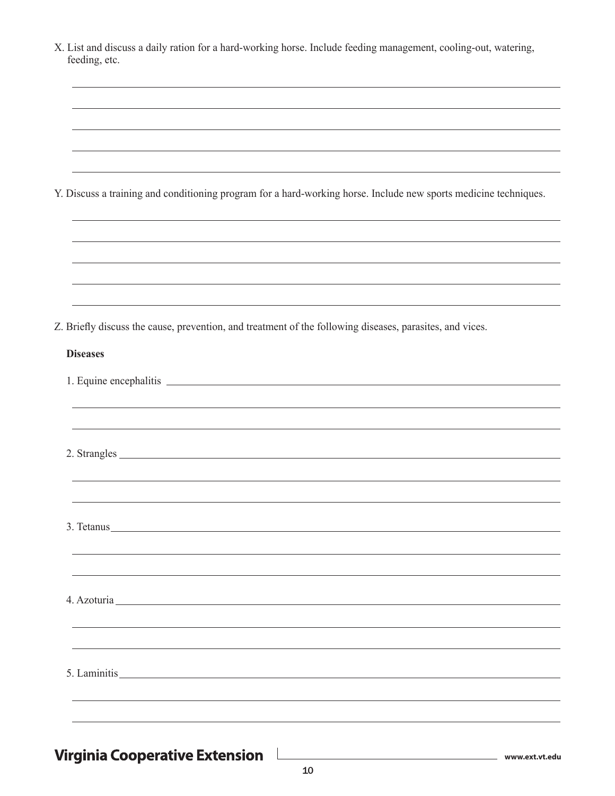| X. List and discuss a daily ration for a hard-working horse. Include feeding management, cooling-out, watering,<br>feeding, etc.                                                                                              |  |
|-------------------------------------------------------------------------------------------------------------------------------------------------------------------------------------------------------------------------------|--|
|                                                                                                                                                                                                                               |  |
|                                                                                                                                                                                                                               |  |
| Y. Discuss a training and conditioning program for a hard-working horse. Include new sports medicine techniques.                                                                                                              |  |
|                                                                                                                                                                                                                               |  |
|                                                                                                                                                                                                                               |  |
| Z. Briefly discuss the cause, prevention, and treatment of the following diseases, parasites, and vices.                                                                                                                      |  |
| <b>Diseases</b>                                                                                                                                                                                                               |  |
|                                                                                                                                                                                                                               |  |
|                                                                                                                                                                                                                               |  |
| 3. Tetanus                                                                                                                                                                                                                    |  |
| 4. Azoturia en el control de la control de la control de la control de la control de la control de la control de la control de la control de la control de la control de la control de la control de la control de la control |  |
| 5. Laminitis                                                                                                                                                                                                                  |  |
|                                                                                                                                                                                                                               |  |
| <b>Virginia Cooperative Extension</b>                                                                                                                                                                                         |  |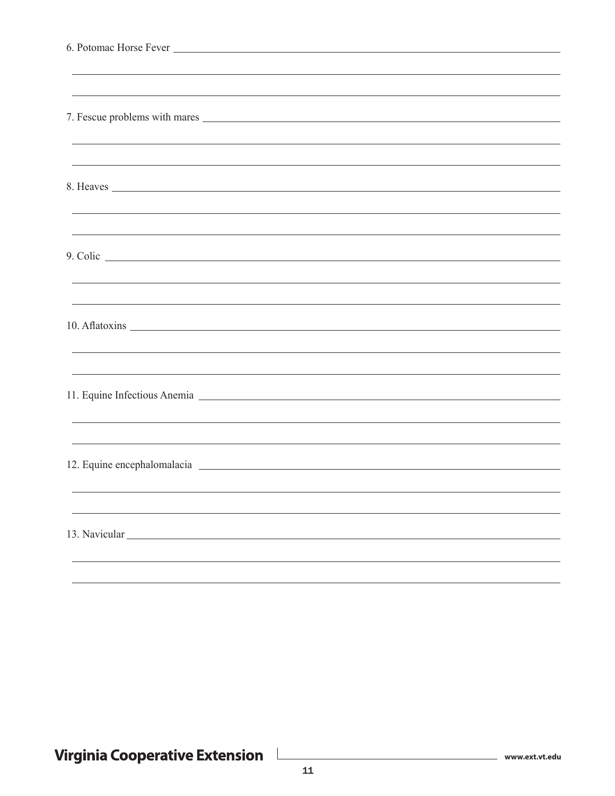| ,我们也不能在这里的时候,我们也不能在这里的时候,我们也不能会在这里的时候,我们也不能会在这里的时候,我们也不能会在这里的时候,我们也不能会在这里的时候,我们也                                                                                                                                                   |  |
|------------------------------------------------------------------------------------------------------------------------------------------------------------------------------------------------------------------------------------|--|
|                                                                                                                                                                                                                                    |  |
|                                                                                                                                                                                                                                    |  |
| ,我们也不能在这里的时候,我们也不能在这里的时候,我们也不能会在这里,我们也不能会在这里的时候,我们也不能会在这里的时候,我们也不能会在这里的时候,我们也不能会                                                                                                                                                   |  |
|                                                                                                                                                                                                                                    |  |
|                                                                                                                                                                                                                                    |  |
| 8. Heaves                                                                                                                                                                                                                          |  |
|                                                                                                                                                                                                                                    |  |
|                                                                                                                                                                                                                                    |  |
| 9. Colic <u>contract the collection</u> of the collection of the collection of the collection of the collection of the collection of the collection of the collection of the collection of the collection of the collection of the |  |
|                                                                                                                                                                                                                                    |  |
| ,我们也不能在这里的时候,我们也不能在这里的时候,我们也不能不能不能不能不能不能不能不能不能不能不能不能不能不能。""我们,我们也不能不能不能不能不能不能不能不能                                                                                                                                                  |  |
|                                                                                                                                                                                                                                    |  |
|                                                                                                                                                                                                                                    |  |
|                                                                                                                                                                                                                                    |  |
|                                                                                                                                                                                                                                    |  |
|                                                                                                                                                                                                                                    |  |
| 11. Equine Infectious Anemia 2008                                                                                                                                                                                                  |  |
| ,我们也不能在这里的时候,我们也不能在这里的时候,我们也不能在这里的时候,我们也不能会在这里的时候,我们也不能会在这里的时候,我们也不能会在这里的时候,我们也不                                                                                                                                                   |  |
|                                                                                                                                                                                                                                    |  |
|                                                                                                                                                                                                                                    |  |
|                                                                                                                                                                                                                                    |  |
|                                                                                                                                                                                                                                    |  |
|                                                                                                                                                                                                                                    |  |
| 13. Navicular                                                                                                                                                                                                                      |  |
|                                                                                                                                                                                                                                    |  |
|                                                                                                                                                                                                                                    |  |

Virginia Cooperative Extension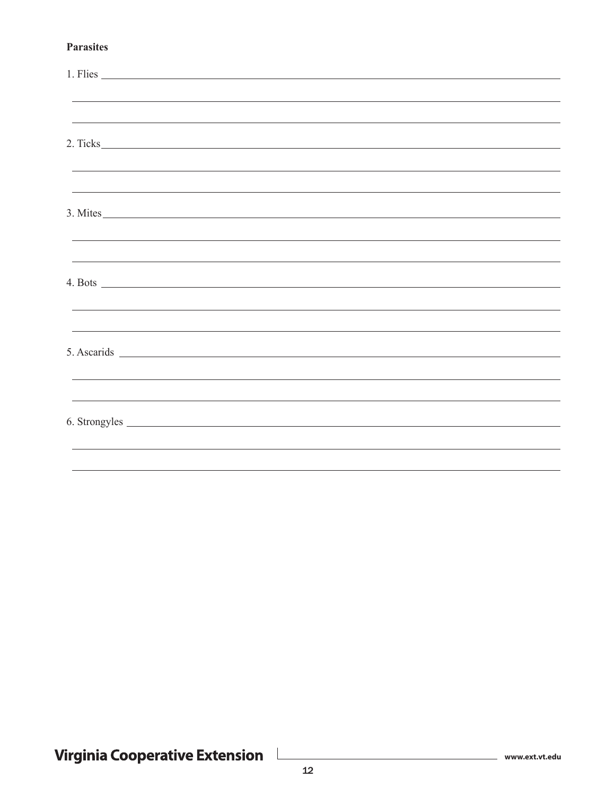#### **Parasites**

| 1. Flies                                                                                                                                                                                                                             |                                                                                                                        |  |  |
|--------------------------------------------------------------------------------------------------------------------------------------------------------------------------------------------------------------------------------------|------------------------------------------------------------------------------------------------------------------------|--|--|
|                                                                                                                                                                                                                                      | <u> 1989 - Johann Stoff, amerikansk politiker (d. 1989)</u>                                                            |  |  |
|                                                                                                                                                                                                                                      | <u> 1989 - Johann Stoff, deutscher Stoffen und der Stoffen und der Stoffen und der Stoffen und der Stoffen und de</u>  |  |  |
| 2. Ticks                                                                                                                                                                                                                             |                                                                                                                        |  |  |
|                                                                                                                                                                                                                                      |                                                                                                                        |  |  |
|                                                                                                                                                                                                                                      |                                                                                                                        |  |  |
| 3. Mites                                                                                                                                                                                                                             |                                                                                                                        |  |  |
|                                                                                                                                                                                                                                      | <u> 1989 - Andrea Santa Alemania, amerikana amerikana amerikana amerikana amerikana amerikana amerikana amerikan</u>   |  |  |
|                                                                                                                                                                                                                                      |                                                                                                                        |  |  |
|                                                                                                                                                                                                                                      |                                                                                                                        |  |  |
|                                                                                                                                                                                                                                      | <u> 1989 - Andrea Santana, amerikana amerikana amerikana amerikana amerikana amerikana amerikana amerikana amerika</u> |  |  |
|                                                                                                                                                                                                                                      | ,我们也不能在这里的时候,我们也不能在这里的时候,我们也不能不能不能不能不能不能不能不能不能不能。""我们的时候,我们也不能不能不能不能不能不能不能不能不能不能                                       |  |  |
|                                                                                                                                                                                                                                      |                                                                                                                        |  |  |
|                                                                                                                                                                                                                                      | ,我们也不能在这里的时候,我们也不能在这里的时候,我们也不能不能不能不能不能不能不能不能不能不能不能不能不能。""我们,我们也不能不能不能不能不能不能不能不能不能                                      |  |  |
|                                                                                                                                                                                                                                      |                                                                                                                        |  |  |
| 6. Strongyles <u>example and the set of the set of the set of the set of the set of the set of the set of the set of the set of the set of the set of the set of the set of the set of the set of the set of the set of the set </u> |                                                                                                                        |  |  |
|                                                                                                                                                                                                                                      | ,我们也不能会在这里,我们的人们就会在这里,我们的人们就会在这里,我们的人们就会在这里,我们的人们就会在这里,我们的人们就会在这里,我们的人们就会在这里,我们的                                       |  |  |
|                                                                                                                                                                                                                                      |                                                                                                                        |  |  |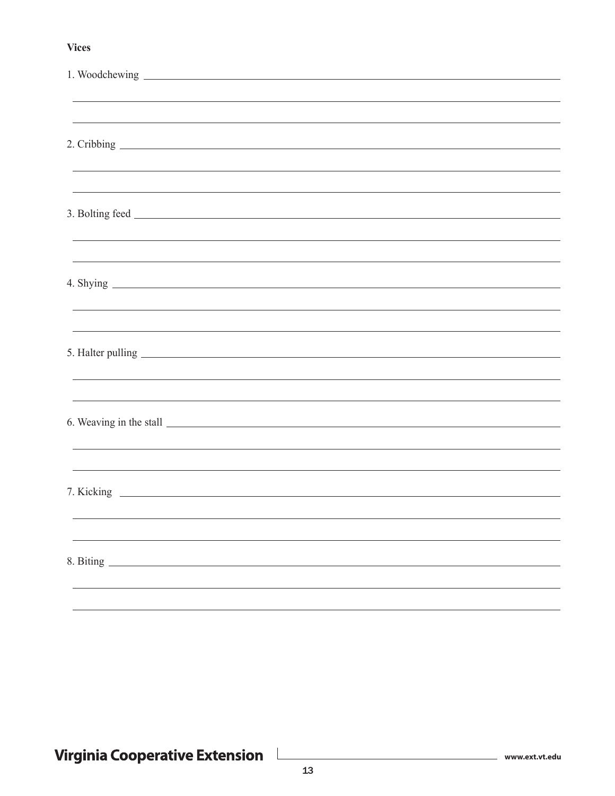#### **Vices**

|                  | ,我们也不会有什么。""我们的人,我们也不会有什么?""我们的人,我们也不会有什么?""我们的人,我们也不会有什么?""我们的人,我们也不会有什么?""我们的人                                                                                                                           |  |  |
|------------------|------------------------------------------------------------------------------------------------------------------------------------------------------------------------------------------------------------|--|--|
|                  |                                                                                                                                                                                                            |  |  |
|                  |                                                                                                                                                                                                            |  |  |
|                  | ,我们也不会有什么。""我们的人,我们也不会有什么?""我们的人,我们也不会有什么?""我们的人,我们也不会有什么?""我们的人,我们也不会有什么?""我们的人<br><u> 1989 - Andrea Santana, amerikana amerikana amerikana amerikana amerikana amerikana amerikana amerikana amerika</u> |  |  |
|                  |                                                                                                                                                                                                            |  |  |
|                  | ,我们也不能在这里的时候,我们也不能在这里的时候,我们也不能会在这里的时候,我们也不能会在这里的时候,我们也不能会在这里的时候,我们也不能会在这里的时候,我们也不                                                                                                                          |  |  |
|                  |                                                                                                                                                                                                            |  |  |
|                  |                                                                                                                                                                                                            |  |  |
|                  |                                                                                                                                                                                                            |  |  |
|                  |                                                                                                                                                                                                            |  |  |
|                  |                                                                                                                                                                                                            |  |  |
|                  |                                                                                                                                                                                                            |  |  |
|                  |                                                                                                                                                                                                            |  |  |
|                  |                                                                                                                                                                                                            |  |  |
|                  |                                                                                                                                                                                                            |  |  |
|                  |                                                                                                                                                                                                            |  |  |
|                  |                                                                                                                                                                                                            |  |  |
|                  |                                                                                                                                                                                                            |  |  |
|                  |                                                                                                                                                                                                            |  |  |
|                  |                                                                                                                                                                                                            |  |  |
| 8. Biting $\_\_$ |                                                                                                                                                                                                            |  |  |
|                  |                                                                                                                                                                                                            |  |  |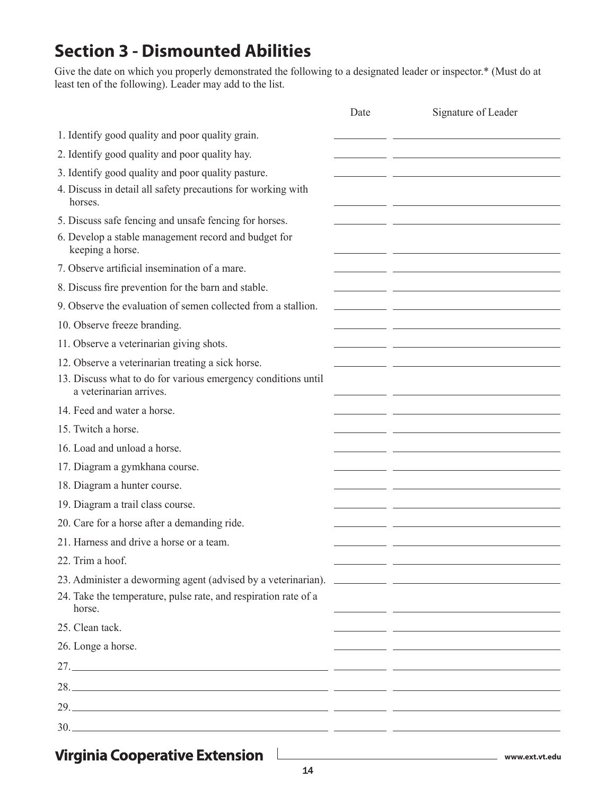# **Section 3 - Dismounted Abilities**

Give the date on which you properly demonstrated the following to a designated leader or inspector.\* (Must do at least ten of the following). Leader may add to the list.

|                                                                                          | Date | Signature of Leader                                   |
|------------------------------------------------------------------------------------------|------|-------------------------------------------------------|
| 1. Identify good quality and poor quality grain.                                         |      |                                                       |
| 2. Identify good quality and poor quality hay.                                           |      |                                                       |
| 3. Identify good quality and poor quality pasture.                                       |      |                                                       |
| 4. Discuss in detail all safety precautions for working with<br>horses.                  |      |                                                       |
| 5. Discuss safe fencing and unsafe fencing for horses.                                   |      |                                                       |
| 6. Develop a stable management record and budget for<br>keeping a horse.                 |      |                                                       |
| 7. Observe artificial insemination of a mare.                                            |      |                                                       |
| 8. Discuss fire prevention for the barn and stable.                                      |      |                                                       |
| 9. Observe the evaluation of semen collected from a stallion.                            |      | <u> 1989 - Andrea Stadt, fransk politik (d. 1989)</u> |
| 10. Observe freeze branding.                                                             |      |                                                       |
| 11. Observe a veterinarian giving shots.                                                 |      |                                                       |
| 12. Observe a veterinarian treating a sick horse.                                        |      |                                                       |
| 13. Discuss what to do for various emergency conditions until<br>a veterinarian arrives. |      |                                                       |
| 14. Feed and water a horse.                                                              |      |                                                       |
| 15. Twitch a horse.                                                                      |      |                                                       |
| 16. Load and unload a horse.                                                             |      |                                                       |
| 17. Diagram a gymkhana course.                                                           |      |                                                       |
| 18. Diagram a hunter course.                                                             |      |                                                       |
| 19. Diagram a trail class course.                                                        |      |                                                       |
| 20. Care for a horse after a demanding ride.                                             |      |                                                       |
| 21. Harness and drive a horse or a team.                                                 |      |                                                       |
| 22. Trim a hoof.                                                                         |      |                                                       |
| 23. Administer a deworming agent (advised by a veterinarian). ___________________        |      |                                                       |
| 24. Take the temperature, pulse rate, and respiration rate of a<br>horse.                |      |                                                       |
| 25. Clean tack.                                                                          |      | <u> 1999 - Johann Stein, mars et al. (b. 1989)</u>    |
| 26. Longe a horse.                                                                       |      |                                                       |
|                                                                                          |      |                                                       |
|                                                                                          |      |                                                       |
|                                                                                          |      |                                                       |
|                                                                                          |      |                                                       |
|                                                                                          |      |                                                       |
| <b>Virginia Cooperative Extension</b>                                                    |      | www.ext.vt.edu                                        |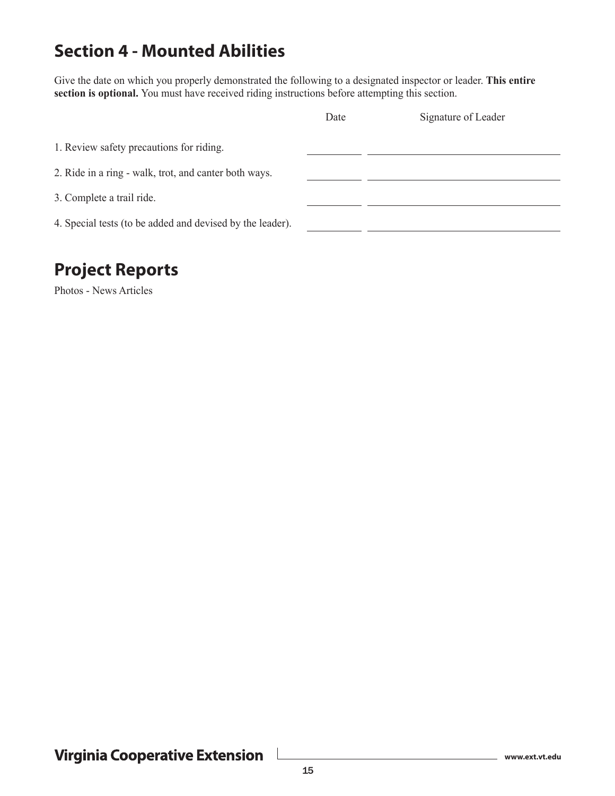## **Section 4 - Mounted Abilities**

Give the date on which you properly demonstrated the following to a designated inspector or leader. **This entire section is optional.** You must have received riding instructions before attempting this section.

|                                                           | Date | Signature of Leader |
|-----------------------------------------------------------|------|---------------------|
| 1. Review safety precautions for riding.                  |      |                     |
| 2. Ride in a ring - walk, trot, and canter both ways.     |      |                     |
| 3. Complete a trail ride.                                 |      |                     |
| 4. Special tests (to be added and devised by the leader). |      |                     |

### **Project Reports**

Photos - News Articles

 $\Box$